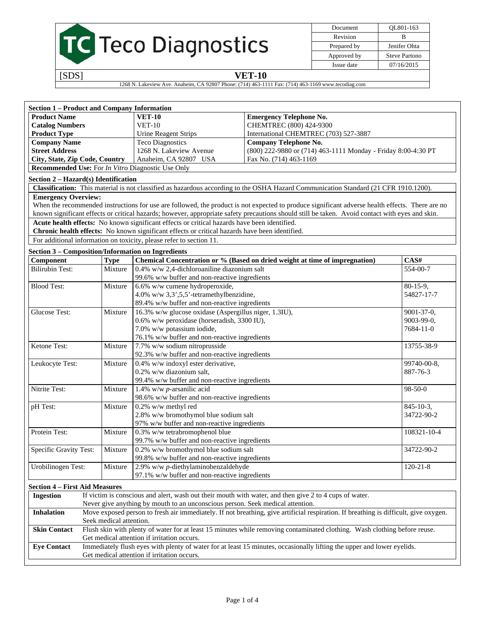|  | <b>TC</b> Teco Diagnostics |
|--|----------------------------|

| Document    | QL801-163     |
|-------------|---------------|
| Revision    | R             |
| Prepared by | Jenifer Ohta  |
| Approved by | Steve Partono |
| Issue date  | 07/16/2015    |

## [SDS] **VET-10**

1268 N. Lakeview Ave. Anaheim, CA 92807 Phone: (714) 463-1111 Fax: (714) 463-1169 www.tecodiag.com

| <b>Section 1 - Product and Company Information</b>                                                                                                        |                         |                                                                                                |                                                                                                                                                 |                  |
|-----------------------------------------------------------------------------------------------------------------------------------------------------------|-------------------------|------------------------------------------------------------------------------------------------|-------------------------------------------------------------------------------------------------------------------------------------------------|------------------|
| <b>Product Name</b>                                                                                                                                       |                         | <b>VET-10</b>                                                                                  | <b>Emergency Telephone No.</b>                                                                                                                  |                  |
| <b>Catalog Numbers</b>                                                                                                                                    |                         | $VET-10$                                                                                       | CHEMTREC (800) 424-9300                                                                                                                         |                  |
| <b>Product Type</b>                                                                                                                                       |                         | <b>Urine Reagent Strips</b>                                                                    | International CHEMTREC (703) 527-3887                                                                                                           |                  |
| <b>Company Name</b>                                                                                                                                       |                         | <b>Teco Diagnostics</b>                                                                        | <b>Company Telephone No.</b>                                                                                                                    |                  |
| <b>Street Address</b>                                                                                                                                     |                         | 1268 N. Lakeview Avenue                                                                        | (800) 222-9880 or (714) 463-1111 Monday - Friday 8:00-4:30 PT                                                                                   |                  |
| City, State, Zip Code, Country                                                                                                                            |                         | Anaheim, CA 92807 USA                                                                          | Fax No. (714) 463-1169                                                                                                                          |                  |
| <b>Recommended Use:</b> For <i>In Vitro</i> Diagnostic Use Only                                                                                           |                         |                                                                                                |                                                                                                                                                 |                  |
| Section 2 – Hazard(s) Identification                                                                                                                      |                         |                                                                                                |                                                                                                                                                 |                  |
|                                                                                                                                                           |                         |                                                                                                | Classification: This material is not classified as hazardous according to the OSHA Hazard Communication Standard (21 CFR 1910.1200).            |                  |
| <b>Emergency Overview:</b>                                                                                                                                |                         |                                                                                                |                                                                                                                                                 |                  |
|                                                                                                                                                           |                         |                                                                                                | When the recommended instructions for use are followed, the product is not expected to produce significant adverse health effects. There are no |                  |
|                                                                                                                                                           |                         |                                                                                                | known significant effects or critical hazards; however, appropriate safety precautions should still be taken. Avoid contact with eyes and skin. |                  |
|                                                                                                                                                           |                         | Acute health effects: No known significant effects or critical hazards have been identified.   |                                                                                                                                                 |                  |
|                                                                                                                                                           |                         | Chronic health effects: No known significant effects or critical hazards have been identified. |                                                                                                                                                 |                  |
|                                                                                                                                                           |                         | For additional information on toxicity, please refer to section 11.                            |                                                                                                                                                 |                  |
| <b>Section 3 - Composition/Information on Ingredients</b>                                                                                                 |                         |                                                                                                |                                                                                                                                                 |                  |
| Component                                                                                                                                                 | <b>Type</b>             |                                                                                                | Chemical Concentration or % (Based on dried weight at time of impregnation)                                                                     | CAS#             |
| <b>Bilirubin Test:</b>                                                                                                                                    | Mixture                 | 0.4% w/w 2,4-dichloroaniline diazonium salt                                                    |                                                                                                                                                 | 554-00-7         |
|                                                                                                                                                           |                         | 99.6% w/w buffer and non-reactive ingredients                                                  |                                                                                                                                                 |                  |
| <b>Blood Test:</b>                                                                                                                                        | Mixture                 | 6.6% w/w cumene hydroperoxide,                                                                 |                                                                                                                                                 | $80-15-9$ ,      |
|                                                                                                                                                           |                         | 4.0% w/w $3,3',5,5'$ -tetramethylbenzidine,                                                    |                                                                                                                                                 | 54827-17-7       |
|                                                                                                                                                           |                         | 89.4% w/w buffer and non-reactive ingredients                                                  |                                                                                                                                                 |                  |
| <b>Glucose Test:</b>                                                                                                                                      |                         | 16.3% w/w glucose oxidase (Aspergillus niger, 1.3IU),                                          |                                                                                                                                                 |                  |
|                                                                                                                                                           | Mixture                 |                                                                                                |                                                                                                                                                 | 9001-37-0,       |
|                                                                                                                                                           |                         | 0.6% w/w peroxidase (horseradish, 3300 IU),                                                    |                                                                                                                                                 | 9003-99-0,       |
|                                                                                                                                                           |                         | 7.0% w/w potassium iodide,                                                                     |                                                                                                                                                 | 7684-11-0        |
|                                                                                                                                                           |                         | 76.1% w/w buffer and non-reactive ingredients                                                  |                                                                                                                                                 |                  |
| Ketone Test:                                                                                                                                              | Mixture                 | 7.7% w/w sodium nitroprusside<br>92.3% w/w buffer and non-reactive ingredients                 |                                                                                                                                                 | 13755-38-9       |
| Leukocyte Test:                                                                                                                                           | Mixture                 | 0.4% w/w indoxyl ester derivative,                                                             |                                                                                                                                                 | 99740-00-8,      |
|                                                                                                                                                           |                         | 0.2% w/w diazonium salt,                                                                       |                                                                                                                                                 | 887-76-3         |
|                                                                                                                                                           |                         | 99.4% w/w buffer and non-reactive ingredients                                                  |                                                                                                                                                 |                  |
| Nitrite Test:                                                                                                                                             | Mixture                 | 1.4% w/w $p$ -arsanilic acid                                                                   |                                                                                                                                                 | $98 - 50 - 0$    |
|                                                                                                                                                           |                         | 98.6% w/w buffer and non-reactive ingredients                                                  |                                                                                                                                                 |                  |
|                                                                                                                                                           |                         |                                                                                                |                                                                                                                                                 |                  |
| pH Test:                                                                                                                                                  | Mixture                 | 0.2% w/w methyl red                                                                            |                                                                                                                                                 | $845 - 10 - 3$ , |
|                                                                                                                                                           |                         | 2.8% w/w bromothymol blue sodium salt                                                          |                                                                                                                                                 | 34722-90-2       |
|                                                                                                                                                           |                         | 97% w/w buffer and non-reactive ingredients                                                    |                                                                                                                                                 |                  |
| Protein Test:                                                                                                                                             | Mixture                 | 0.3% w/w tetrabromophenol blue<br>99.7% w/w buffer and non-reactive ingredients                |                                                                                                                                                 | 108321-10-4      |
|                                                                                                                                                           | Mixture                 | 0.2% w/w bromothymol blue sodium salt                                                          |                                                                                                                                                 | 34722-90-2       |
| Specific Gravity Test:                                                                                                                                    |                         |                                                                                                |                                                                                                                                                 |                  |
|                                                                                                                                                           |                         | 99.8% w/w buffer and non-reactive ingredients                                                  |                                                                                                                                                 |                  |
| Urobilinogen Test:                                                                                                                                        | Mixture                 | $2.9\%$ w/w p-diethylaminobenzaldehyde                                                         |                                                                                                                                                 | $120 - 21 - 8$   |
|                                                                                                                                                           |                         | 97.1% w/w buffer and non-reactive ingredients                                                  |                                                                                                                                                 |                  |
| <b>Section 4 - First Aid Measures</b>                                                                                                                     |                         |                                                                                                |                                                                                                                                                 |                  |
| <b>Ingestion</b>                                                                                                                                          |                         |                                                                                                | If victim is conscious and alert, wash out their mouth with water, and then give 2 to 4 cups of water.                                          |                  |
|                                                                                                                                                           |                         | Never give anything by mouth to an unconscious person. Seek medical attention.                 |                                                                                                                                                 |                  |
| Move exposed person to fresh air immediately. If not breathing, give artificial respiration. If breathing is difficult, give oxygen.<br><b>Inhalation</b> |                         |                                                                                                |                                                                                                                                                 |                  |
|                                                                                                                                                           | Seek medical attention. |                                                                                                |                                                                                                                                                 |                  |
| <b>Skin Contact</b>                                                                                                                                       |                         |                                                                                                | Flush skin with plenty of water for at least 15 minutes while removing contaminated clothing. Wash clothing before reuse.                       |                  |
| Get medical attention if irritation occurs.                                                                                                               |                         |                                                                                                |                                                                                                                                                 |                  |
| Immediately flush eyes with plenty of water for at least 15 minutes, occasionally lifting the upper and lower eyelids.<br><b>Eye Contact</b>              |                         |                                                                                                |                                                                                                                                                 |                  |
|                                                                                                                                                           |                         | Get medical attention if irritation occurs.                                                    |                                                                                                                                                 |                  |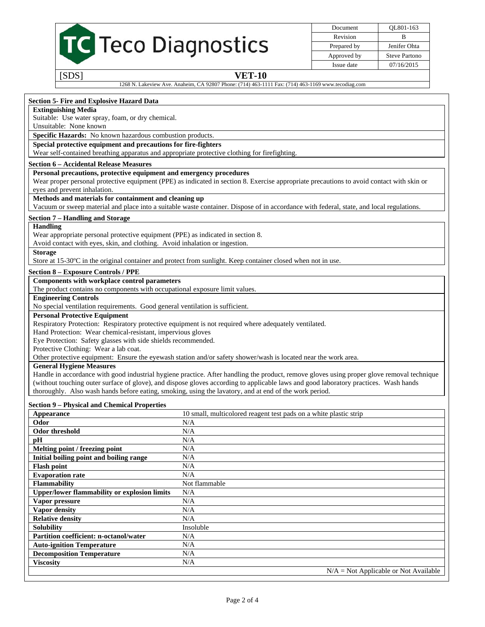|                                                                                                                                                                                                                                                                                    |                                                                                                    | Document    | QL801-163            |  |
|------------------------------------------------------------------------------------------------------------------------------------------------------------------------------------------------------------------------------------------------------------------------------------|----------------------------------------------------------------------------------------------------|-------------|----------------------|--|
|                                                                                                                                                                                                                                                                                    |                                                                                                    | Revision    | B                    |  |
| TC Teco Diagnostics                                                                                                                                                                                                                                                                |                                                                                                    | Prepared by | Jenifer Ohta         |  |
|                                                                                                                                                                                                                                                                                    |                                                                                                    | Approved by | <b>Steve Partono</b> |  |
|                                                                                                                                                                                                                                                                                    |                                                                                                    | Issue date  | 07/16/2015           |  |
| [SDS]                                                                                                                                                                                                                                                                              | <b>VET-10</b>                                                                                      |             |                      |  |
|                                                                                                                                                                                                                                                                                    | 1268 N. Lakeview Ave. Anaheim, CA 92807 Phone: (714) 463-1111 Fax: (714) 463-1169 www.tecodiag.com |             |                      |  |
|                                                                                                                                                                                                                                                                                    |                                                                                                    |             |                      |  |
| Section 5- Fire and Explosive Hazard Data                                                                                                                                                                                                                                          |                                                                                                    |             |                      |  |
| <b>Extinguishing Media</b>                                                                                                                                                                                                                                                         |                                                                                                    |             |                      |  |
| Suitable: Use water spray, foam, or dry chemical.                                                                                                                                                                                                                                  |                                                                                                    |             |                      |  |
| Unsuitable: None known                                                                                                                                                                                                                                                             |                                                                                                    |             |                      |  |
| Specific Hazards: No known hazardous combustion products.                                                                                                                                                                                                                          |                                                                                                    |             |                      |  |
| Special protective equipment and precautions for fire-fighters                                                                                                                                                                                                                     |                                                                                                    |             |                      |  |
| Wear self-contained breathing apparatus and appropriate protective clothing for firefighting.                                                                                                                                                                                      |                                                                                                    |             |                      |  |
| <b>Section 6 - Accidental Release Measures</b>                                                                                                                                                                                                                                     |                                                                                                    |             |                      |  |
| Personal precautions, protective equipment and emergency procedures                                                                                                                                                                                                                |                                                                                                    |             |                      |  |
| Wear proper personal protective equipment (PPE) as indicated in section 8. Exercise appropriate precautions to avoid contact with skin or<br>eyes and prevent inhalation.                                                                                                          |                                                                                                    |             |                      |  |
| Methods and materials for containment and cleaning up                                                                                                                                                                                                                              |                                                                                                    |             |                      |  |
| Vacuum or sweep material and place into a suitable waste container. Dispose of in accordance with federal, state, and local regulations.                                                                                                                                           |                                                                                                    |             |                      |  |
|                                                                                                                                                                                                                                                                                    |                                                                                                    |             |                      |  |
| Section 7 – Handling and Storage<br><b>Handling</b>                                                                                                                                                                                                                                |                                                                                                    |             |                      |  |
| Wear appropriate personal protective equipment (PPE) as indicated in section 8.                                                                                                                                                                                                    |                                                                                                    |             |                      |  |
| Avoid contact with eyes, skin, and clothing. Avoid inhalation or ingestion.                                                                                                                                                                                                        |                                                                                                    |             |                      |  |
| <b>Storage</b>                                                                                                                                                                                                                                                                     |                                                                                                    |             |                      |  |
| Store at 15-30°C in the original container and protect from sunlight. Keep container closed when not in use.                                                                                                                                                                       |                                                                                                    |             |                      |  |
| <b>Section 8 - Exposure Controls / PPE</b>                                                                                                                                                                                                                                         |                                                                                                    |             |                      |  |
| Components with workplace control parameters                                                                                                                                                                                                                                       |                                                                                                    |             |                      |  |
| The product contains no components with occupational exposure limit values.                                                                                                                                                                                                        |                                                                                                    |             |                      |  |
| <b>Engineering Controls</b>                                                                                                                                                                                                                                                        |                                                                                                    |             |                      |  |
| No special ventilation requirements. Good general ventilation is sufficient.                                                                                                                                                                                                       |                                                                                                    |             |                      |  |
| <b>Personal Protective Equipment</b>                                                                                                                                                                                                                                               |                                                                                                    |             |                      |  |
| Respiratory Protection: Respiratory protective equipment is not required where adequately ventilated.                                                                                                                                                                              |                                                                                                    |             |                      |  |
| Hand Protection: Wear chemical-resistant, impervious gloves                                                                                                                                                                                                                        |                                                                                                    |             |                      |  |
| Eye Protection: Safety glasses with side shields recommended.                                                                                                                                                                                                                      |                                                                                                    |             |                      |  |
| Protective Clothing: Wear a lab coat.                                                                                                                                                                                                                                              |                                                                                                    |             |                      |  |
| Other protective equipment: Ensure the eyewash station and/or safety shower/wash is located near the work area.                                                                                                                                                                    |                                                                                                    |             |                      |  |
| <b>General Hygiene Measures</b>                                                                                                                                                                                                                                                    |                                                                                                    |             |                      |  |
| Handle in accordance with good industrial hygiene practice. After handling the product, remove gloves using proper glove removal technique<br>(without touching outer surface of glove), and dispose gloves according to applicable laws and good laboratory practices. Wash hands |                                                                                                    |             |                      |  |
| thoroughly. Also wash hands before eating, smoking, using the lavatory, and at end of the work period.                                                                                                                                                                             |                                                                                                    |             |                      |  |
|                                                                                                                                                                                                                                                                                    |                                                                                                    |             |                      |  |
| <b>Section 9 – Physical and Chemical Properties</b>                                                                                                                                                                                                                                |                                                                                                    |             |                      |  |
| Appearance<br>Odor                                                                                                                                                                                                                                                                 | 10 small, multicolored reagent test pads on a white plastic strip                                  |             |                      |  |
| Odor threshold                                                                                                                                                                                                                                                                     | N/A<br>$\rm N/A$                                                                                   |             |                      |  |
| pH                                                                                                                                                                                                                                                                                 | N/A                                                                                                |             |                      |  |
| Melting point / freezing point                                                                                                                                                                                                                                                     | N/A                                                                                                |             |                      |  |
| Initial boiling point and boiling range                                                                                                                                                                                                                                            | N/A                                                                                                |             |                      |  |
| <b>Flash point</b>                                                                                                                                                                                                                                                                 | N/A                                                                                                |             |                      |  |
| <b>Evaporation rate</b>                                                                                                                                                                                                                                                            | N/A                                                                                                |             |                      |  |
| <b>Flammability</b>                                                                                                                                                                                                                                                                | Not flammable                                                                                      |             |                      |  |
| <b>Upper/lower flammability or explosion limits</b>                                                                                                                                                                                                                                | N/A                                                                                                |             |                      |  |
| Vapor pressure                                                                                                                                                                                                                                                                     | $\rm N/A$                                                                                          |             |                      |  |
| Vapor density                                                                                                                                                                                                                                                                      | N/A                                                                                                |             |                      |  |
| <b>Relative density</b>                                                                                                                                                                                                                                                            | N/A                                                                                                |             |                      |  |
| <b>Solubility</b>                                                                                                                                                                                                                                                                  | Insoluble                                                                                          |             |                      |  |
| Partition coefficient: n-octanol/water                                                                                                                                                                                                                                             | N/A                                                                                                |             |                      |  |
| <b>Auto-ignition Temperature</b>                                                                                                                                                                                                                                                   | N/A                                                                                                |             |                      |  |
| <b>Decomposition Temperature</b>                                                                                                                                                                                                                                                   | $\rm N/A$                                                                                          |             |                      |  |
| <b>Viscosity</b>                                                                                                                                                                                                                                                                   | N/A                                                                                                |             |                      |  |

N/A = Not Applicable or Not Available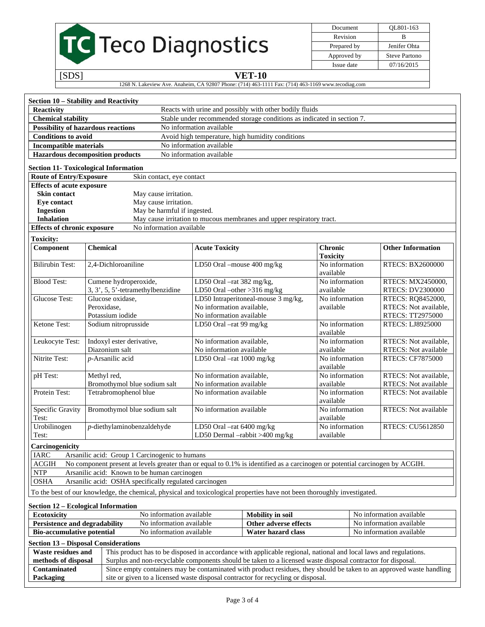# TC Teco Diagnostics

Document QL801-163 Revision B Prepared by Jenifer Ohta Approved by Steve Partono Issue date 07/16/2015

#### [SDS] **VET-10**

1268 N. Lakeview Ave. Anaheim, CA 92807 Phone: (714) 463-1111 Fax: (714) 463-1169 www.tecodiag.com

| Section 10 - Stability and Reactivity                                                          |                                                                                                                                                                                                                                     |                             |                                                                        |                             |                          |                             |
|------------------------------------------------------------------------------------------------|-------------------------------------------------------------------------------------------------------------------------------------------------------------------------------------------------------------------------------------|-----------------------------|------------------------------------------------------------------------|-----------------------------|--------------------------|-----------------------------|
| <b>Reactivity</b>                                                                              |                                                                                                                                                                                                                                     |                             | Reacts with urine and possibly with other bodily fluids                |                             |                          |                             |
| <b>Chemical stability</b>                                                                      |                                                                                                                                                                                                                                     |                             | Stable under recommended storage conditions as indicated in section 7. |                             |                          |                             |
|                                                                                                | <b>Possibility of hazardous reactions</b><br>No information available                                                                                                                                                               |                             |                                                                        |                             |                          |                             |
| <b>Conditions to avoid</b><br>Avoid high temperature, high humidity conditions                 |                                                                                                                                                                                                                                     |                             |                                                                        |                             |                          |                             |
| <b>Incompatible materials</b>                                                                  |                                                                                                                                                                                                                                     | No information available    |                                                                        |                             |                          |                             |
|                                                                                                | <b>Hazardous decomposition products</b>                                                                                                                                                                                             | No information available    |                                                                        |                             |                          |                             |
|                                                                                                |                                                                                                                                                                                                                                     |                             |                                                                        |                             |                          |                             |
|                                                                                                | <b>Section 11- Toxicological Information</b>                                                                                                                                                                                        |                             |                                                                        |                             |                          |                             |
| <b>Route of Entry/Exposure</b>                                                                 | Skin contact, eye contact                                                                                                                                                                                                           |                             |                                                                        |                             |                          |                             |
| <b>Effects of acute exposure</b><br>Skin contact                                               | May cause irritation.                                                                                                                                                                                                               |                             |                                                                        |                             |                          |                             |
| <b>Eye contact</b>                                                                             | May cause irritation.                                                                                                                                                                                                               |                             |                                                                        |                             |                          |                             |
| <b>Ingestion</b>                                                                               | May be harmful if ingested.                                                                                                                                                                                                         |                             |                                                                        |                             |                          |                             |
| <b>Inhalation</b>                                                                              |                                                                                                                                                                                                                                     |                             | May cause irritation to mucous membranes and upper respiratory tract.  |                             |                          |                             |
| <b>Effects of chronic exposure</b>                                                             | No information available                                                                                                                                                                                                            |                             |                                                                        |                             |                          |                             |
| <b>Toxicity:</b>                                                                               |                                                                                                                                                                                                                                     |                             |                                                                        |                             |                          |                             |
| Component                                                                                      | <b>Chemical</b>                                                                                                                                                                                                                     | <b>Acute Toxicity</b>       |                                                                        | <b>Chronic</b>              |                          | <b>Other Information</b>    |
|                                                                                                |                                                                                                                                                                                                                                     |                             |                                                                        | <b>Toxicity</b>             |                          |                             |
| <b>Bilirubin Test:</b>                                                                         | 2,4-Dichloroaniline                                                                                                                                                                                                                 | LD50 Oral -mouse 400 mg/kg  |                                                                        | No information<br>available |                          | <b>RTECS: BX2600000</b>     |
| <b>Blood Test:</b>                                                                             | Cumene hydroperoxide,                                                                                                                                                                                                               | LD50 Oral -rat 382 mg/kg,   |                                                                        | No information              |                          | RTECS: MX2450000,           |
|                                                                                                | 3, 3', 5, 5'-tetramethylbenzidine                                                                                                                                                                                                   | LD50 Oral -other >316 mg/kg |                                                                        | available                   |                          | <b>RTECS: DV2300000</b>     |
| <b>Glucose Test:</b>                                                                           | Glucose oxidase,                                                                                                                                                                                                                    |                             | LD50 Intraperitoneal-mouse 3 mg/kg,                                    | No information              |                          | RTECS: RQ8452000,           |
|                                                                                                | Peroxidase,                                                                                                                                                                                                                         | No information available,   |                                                                        | available                   |                          | RTECS: Not available,       |
|                                                                                                | Potassium iodide                                                                                                                                                                                                                    | No information available    |                                                                        |                             |                          | RTECS: TT2975000            |
| Ketone Test:                                                                                   | Sodium nitroprusside                                                                                                                                                                                                                | LD50 Oral -rat 99 mg/kg     |                                                                        | No information<br>available |                          | RTECS: LJ8925000            |
| Leukocyte Test:                                                                                | Indoxyl ester derivative,                                                                                                                                                                                                           | No information available,   |                                                                        | No information              |                          | RTECS: Not available,       |
|                                                                                                | Diazonium salt                                                                                                                                                                                                                      | No information available    |                                                                        | available                   |                          | RTECS: Not available        |
| Nitrite Test:                                                                                  | p-Arsanilic acid                                                                                                                                                                                                                    | LD50 Oral -rat 1000 mg/kg   |                                                                        | No information<br>available |                          | <b>RTECS: CF7875000</b>     |
| pH Test:                                                                                       | Methyl red,                                                                                                                                                                                                                         | No information available,   |                                                                        | No information              |                          | RTECS: Not available,       |
|                                                                                                | Bromothymol blue sodium salt                                                                                                                                                                                                        | No information available    |                                                                        | available                   |                          | RTECS: Not available        |
| Protein Test:                                                                                  | Tetrabromophenol blue                                                                                                                                                                                                               | No information available    |                                                                        | No information<br>available |                          | <b>RTECS:</b> Not available |
| Specific Gravity<br>Test:                                                                      | Bromothymol blue sodium salt                                                                                                                                                                                                        | No information available    |                                                                        | No information<br>available |                          | RTECS: Not available        |
| Urobilinogen<br>Test:                                                                          | $p$ -diethylaminobenzaldehyde                                                                                                                                                                                                       | LD50 Oral -rat 6400 mg/kg   | No information<br>LD50 Dermal $-rabbit > 400$ mg/kg<br>available       |                             | <b>RTECS: CU5612850</b>  |                             |
| Carcinogenicity                                                                                |                                                                                                                                                                                                                                     |                             |                                                                        |                             |                          |                             |
| <b>IARC</b>                                                                                    | Arsanilic acid: Group 1 Carcinogenic to humans                                                                                                                                                                                      |                             |                                                                        |                             |                          |                             |
| <b>ACGIH</b>                                                                                   | No component present at levels greater than or equal to 0.1% is identified as a carcinogen or potential carcinogen by ACGIH.                                                                                                        |                             |                                                                        |                             |                          |                             |
| $\ensuremath{\text{NTP}}$<br>Arsanilic acid: Known to be human carcinogen                      |                                                                                                                                                                                                                                     |                             |                                                                        |                             |                          |                             |
| <b>OSHA</b><br>Arsanilic acid: OSHA specifically regulated carcinogen                          |                                                                                                                                                                                                                                     |                             |                                                                        |                             |                          |                             |
|                                                                                                | To the best of our knowledge, the chemical, physical and toxicological properties have not been thoroughly investigated.                                                                                                            |                             |                                                                        |                             |                          |                             |
| Section 12 – Ecological Information                                                            |                                                                                                                                                                                                                                     |                             |                                                                        |                             |                          |                             |
| Ecotoxicity<br>No information available<br>No information available<br><b>Mobility</b> in soil |                                                                                                                                                                                                                                     |                             |                                                                        |                             |                          |                             |
| Persistence and degradability<br>No information available                                      |                                                                                                                                                                                                                                     |                             | Other adverse effects                                                  |                             | No information available |                             |
|                                                                                                | No information available<br>Water hazard class<br>No information available<br><b>Bio-accumulative potential</b>                                                                                                                     |                             |                                                                        |                             |                          |                             |
| <b>Section 13 - Disposal Considerations</b>                                                    |                                                                                                                                                                                                                                     |                             |                                                                        |                             |                          |                             |
| <b>Waste residues and</b>                                                                      | This product has to be disposed in accordance with applicable regional, national and local laws and regulations.                                                                                                                    |                             |                                                                        |                             |                          |                             |
| methods of disposal                                                                            |                                                                                                                                                                                                                                     |                             |                                                                        |                             |                          |                             |
| Contaminated                                                                                   | Surplus and non-recyclable components should be taken to a licensed waste disposal contractor for disposal.<br>Since empty containers may be contaminated with product residues, they should be taken to an approved waste handling |                             |                                                                        |                             |                          |                             |
| Packaging                                                                                      | site or given to a licensed waste disposal contractor for recycling or disposal.                                                                                                                                                    |                             |                                                                        |                             |                          |                             |